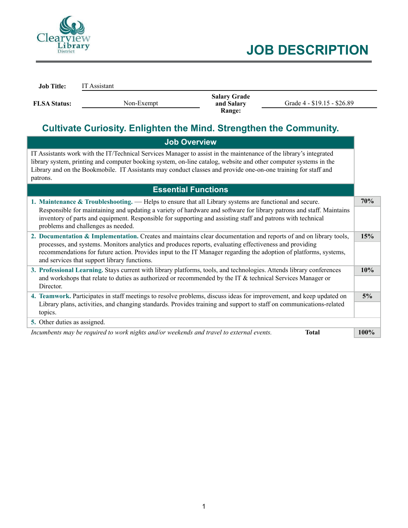

| <b>Job Title:</b>   | IT Assistant |                                             |                             |
|---------------------|--------------|---------------------------------------------|-----------------------------|
| <b>FLSA Status:</b> | Non-Exempt   | <b>Salary Grade</b><br>and Salary<br>Range: | Grade 4 - \$19.15 - \$26.89 |

# **Cultivate Curiosity. Enlighten the Mind. Strengthen the Community.**

| <b>Job Overview</b>                                                                                                                                                                                                                                                                                                                                                                               |      |  |  |
|---------------------------------------------------------------------------------------------------------------------------------------------------------------------------------------------------------------------------------------------------------------------------------------------------------------------------------------------------------------------------------------------------|------|--|--|
| IT Assistants work with the IT/Technical Services Manager to assist in the maintenance of the library's integrated<br>library system, printing and computer booking system, on-line catalog, website and other computer systems in the<br>Library and on the Bookmobile. IT Assistants may conduct classes and provide one-on-one training for staff and<br>patrons.                              |      |  |  |
| <b>Essential Functions</b>                                                                                                                                                                                                                                                                                                                                                                        |      |  |  |
| 1. Maintenance & Troubleshooting. — Helps to ensure that all Library systems are functional and secure.<br>Responsible for maintaining and updating a variety of hardware and software for library patrons and staff. Maintains<br>inventory of parts and equipment. Responsible for supporting and assisting staff and patrons with technical<br>problems and challenges as needed.              | 70%  |  |  |
| 2. Documentation & Implementation. Creates and maintains clear documentation and reports of and on library tools,<br>processes, and systems. Monitors analytics and produces reports, evaluating effectiveness and providing<br>recommendations for future action. Provides input to the IT Manager regarding the adoption of platforms, systems,<br>and services that support library functions. | 15%  |  |  |
| 3. Professional Learning. Stays current with library platforms, tools, and technologies. Attends library conferences<br>and workshops that relate to duties as authorized or recommended by the IT $\&$ technical Services Manager or<br>Director.                                                                                                                                                | 10%  |  |  |
| 4. Teamwork. Participates in staff meetings to resolve problems, discuss ideas for improvement, and keep updated on<br>Library plans, activities, and changing standards. Provides training and support to staff on communications-related<br>topics.                                                                                                                                             |      |  |  |
| 5. Other duties as assigned.                                                                                                                                                                                                                                                                                                                                                                      |      |  |  |
| Incumbents may be required to work nights and/or weekends and travel to external events.<br><b>Total</b>                                                                                                                                                                                                                                                                                          | 100% |  |  |